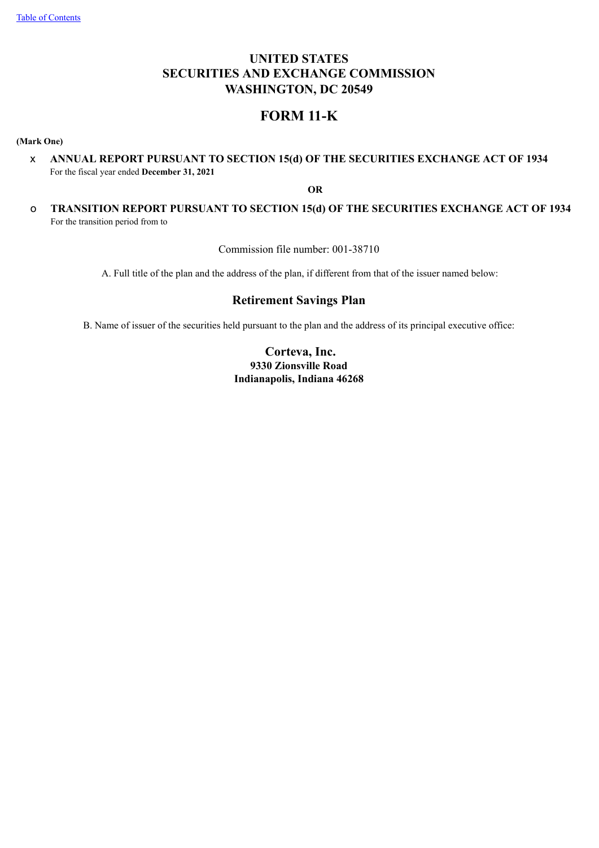# **UNITED STATES SECURITIES AND EXCHANGE COMMISSION WASHINGTON, DC 20549**

# **FORM 11-K**

**(Mark One)**

x **ANNUAL REPORT PURSUANT TO SECTION 15(d) OF THE SECURITIES EXCHANGE ACT OF 1934** For the fiscal year ended **December 31, 2021**

**OR**

o **TRANSITION REPORT PURSUANT TO SECTION 15(d) OF THE SECURITIES EXCHANGE ACT OF 1934** For the transition period from to

Commission file number: 001-38710

A. Full title of the plan and the address of the plan, if different from that of the issuer named below:

# **Retirement Savings Plan**

<span id="page-0-0"></span>B. Name of issuer of the securities held pursuant to the plan and the address of its principal executive office:

# **Corteva, Inc. 9330 Zionsville Road Indianapolis, Indiana 46268**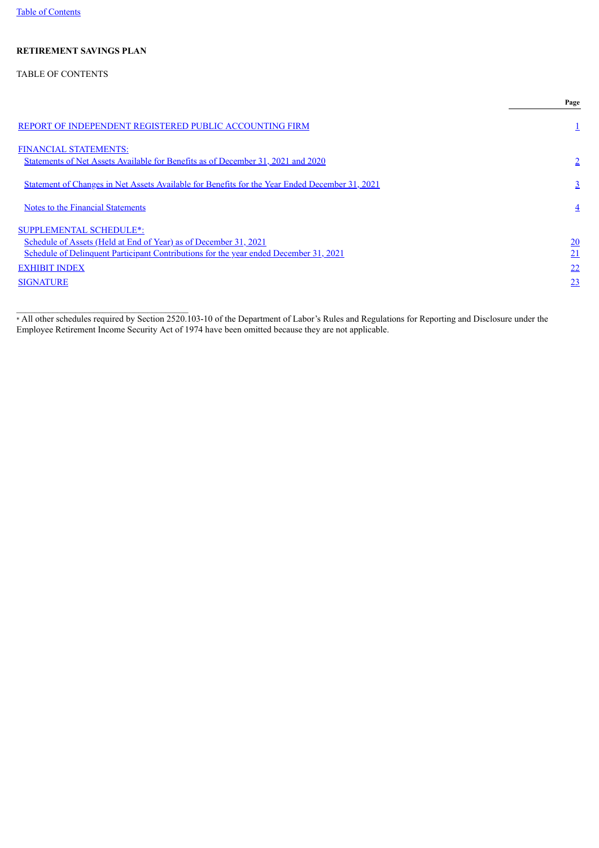# TABLE OF CONTENTS

|                                                                                                | Page           |
|------------------------------------------------------------------------------------------------|----------------|
| REPORT OF INDEPENDENT REGISTERED PUBLIC ACCOUNTING FIRM                                        |                |
| <b>FINANCIAL STATEMENTS:</b>                                                                   |                |
| Statements of Net Assets Available for Benefits as of December 31, 2021 and 2020               | $\overline{2}$ |
| Statement of Changes in Net Assets Available for Benefits for the Year Ended December 31, 2021 | $\overline{3}$ |
| <b>Notes to the Financial Statements</b>                                                       | $\overline{4}$ |
| <b>SUPPLEMENTAL SCHEDULE*:</b>                                                                 |                |
| Schedule of Assets (Held at End of Year) as of December 31, 2021                               | 20             |
| Schedule of Delinquent Participant Contributions for the year ended December 31, 2021          | 21             |
| <b>EXHIBIT INDEX</b>                                                                           | 22             |
| <b>SIGNATURE</b>                                                                               | 23             |

<span id="page-1-0"></span>\* All other schedules required by Section 2520.103-10 of the Department of Labor's Rules and Regulations for Reporting and Disclosure under the Employee Retirement Income Security Act of 1974 have been omitted because they are not applicable.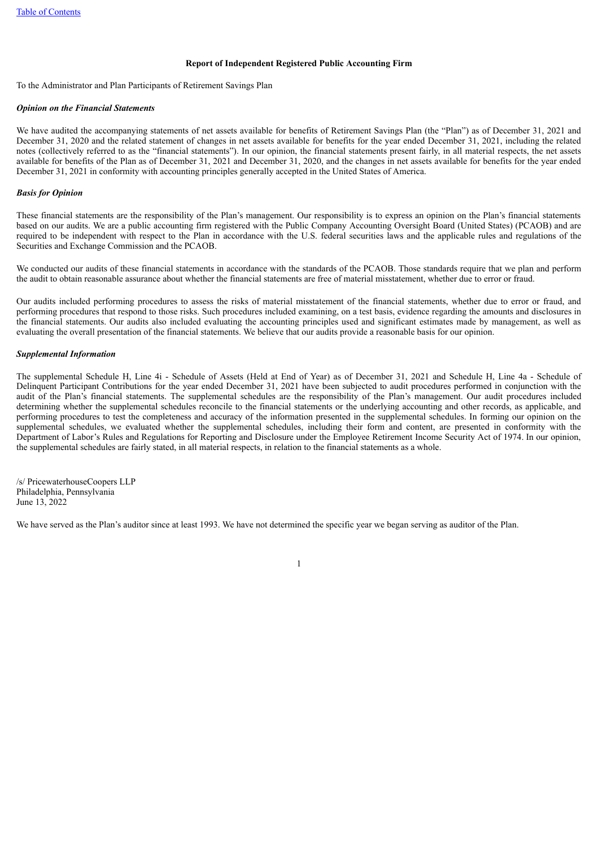### **Report of Independent Registered Public Accounting Firm**

To the Administrator and Plan Participants of Retirement Savings Plan

### *Opinion on the Financial Statements*

We have audited the accompanying statements of net assets available for benefits of Retirement Savings Plan (the "Plan") as of December 31, 2021 and December 31, 2020 and the related statement of changes in net assets available for benefits for the year ended December 31, 2021, including the related notes (collectively referred to as the "financial statements"). In our opinion, the financial statements present fairly, in all material respects, the net assets available for benefits of the Plan as of December 31, 2021 and December 31, 2020, and the changes in net assets available for benefits for the year ended December 31, 2021 in conformity with accounting principles generally accepted in the United States of America.

### *Basis for Opinion*

These financial statements are the responsibility of the Plan's management. Our responsibility is to express an opinion on the Plan's financial statements based on our audits. We are a public accounting firm registered with the Public Company Accounting Oversight Board (United States) (PCAOB) and are required to be independent with respect to the Plan in accordance with the U.S. federal securities laws and the applicable rules and regulations of the Securities and Exchange Commission and the PCAOB.

We conducted our audits of these financial statements in accordance with the standards of the PCAOB. Those standards require that we plan and perform the audit to obtain reasonable assurance about whether the financial statements are free of material misstatement, whether due to error or fraud.

Our audits included performing procedures to assess the risks of material misstatement of the financial statements, whether due to error or fraud, and performing procedures that respond to those risks. Such procedures included examining, on a test basis, evidence regarding the amounts and disclosures in the financial statements. Our audits also included evaluating the accounting principles used and significant estimates made by management, as well as evaluating the overall presentation of the financial statements. We believe that our audits provide a reasonable basis for our opinion.

#### *Supplemental Information*

The supplemental Schedule H, Line 4i - Schedule of Assets (Held at End of Year) as of December 31, 2021 and Schedule H, Line 4a - Schedule of Delinquent Participant Contributions for the year ended December 31, 2021 have been subjected to audit procedures performed in conjunction with the audit of the Plan's financial statements. The supplemental schedules are the responsibility of the Plan's management. Our audit procedures included determining whether the supplemental schedules reconcile to the financial statements or the underlying accounting and other records, as applicable, and performing procedures to test the completeness and accuracy of the information presented in the supplemental schedules. In forming our opinion on the supplemental schedules, we evaluated whether the supplemental schedules, including their form and content, are presented in conformity with the Department of Labor's Rules and Regulations for Reporting and Disclosure under the Employee Retirement Income Security Act of 1974. In our opinion, the supplemental schedules are fairly stated, in all material respects, in relation to the financial statements as a whole.

/s/ PricewaterhouseCoopers LLP Philadelphia, Pennsylvania June 13, 2022

We have served as the Plan's auditor since at least 1993. We have not determined the specific year we began serving as auditor of the Plan.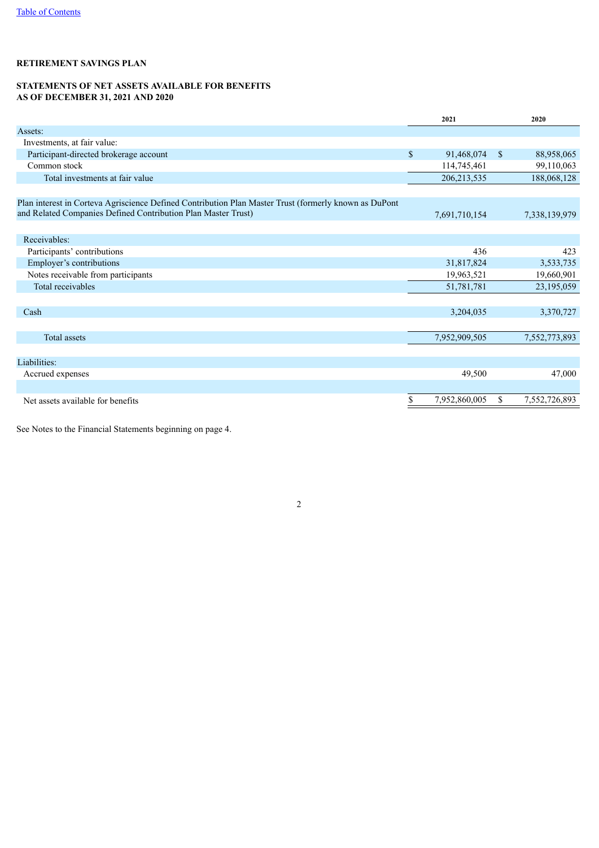## <span id="page-3-0"></span>**STATEMENTS OF NET ASSETS AVAILABLE FOR BENEFITS AS OF DECEMBER 31, 2021 AND 2020**

|                                                                                                                                                                        |              | 2021          |              | 2020          |
|------------------------------------------------------------------------------------------------------------------------------------------------------------------------|--------------|---------------|--------------|---------------|
| Assets:                                                                                                                                                                |              |               |              |               |
| Investments, at fair value:                                                                                                                                            |              |               |              |               |
| Participant-directed brokerage account                                                                                                                                 | $\mathbb{S}$ | 91,468,074    | $\mathbb{S}$ | 88,958,065    |
| Common stock                                                                                                                                                           |              | 114,745,461   |              | 99,110,063    |
| Total investments at fair value                                                                                                                                        |              | 206, 213, 535 |              | 188,068,128   |
|                                                                                                                                                                        |              |               |              |               |
| Plan interest in Corteva Agriscience Defined Contribution Plan Master Trust (formerly known as DuPont<br>and Related Companies Defined Contribution Plan Master Trust) |              | 7,691,710,154 |              | 7,338,139,979 |
|                                                                                                                                                                        |              |               |              |               |
| Receivables:                                                                                                                                                           |              |               |              |               |
| Participants' contributions                                                                                                                                            |              | 436           |              | 423           |
| Employer's contributions                                                                                                                                               |              | 31,817,824    |              | 3,533,735     |
| Notes receivable from participants                                                                                                                                     |              | 19,963,521    |              | 19,660,901    |
| Total receivables                                                                                                                                                      |              | 51,781,781    |              | 23,195,059    |
|                                                                                                                                                                        |              |               |              |               |
| Cash                                                                                                                                                                   |              | 3,204,035     |              | 3,370,727     |
|                                                                                                                                                                        |              |               |              |               |
| <b>Total assets</b>                                                                                                                                                    |              | 7,952,909,505 |              | 7,552,773,893 |
|                                                                                                                                                                        |              |               |              |               |
| Liabilities:                                                                                                                                                           |              |               |              |               |
| Accrued expenses                                                                                                                                                       |              | 49,500        |              | 47,000        |
|                                                                                                                                                                        |              |               |              |               |
| Net assets available for benefits                                                                                                                                      | \$           | 7,952,860,005 | \$           | 7,552,726,893 |

2

<span id="page-3-1"></span>See Notes to the Financial Statements beginning on page 4.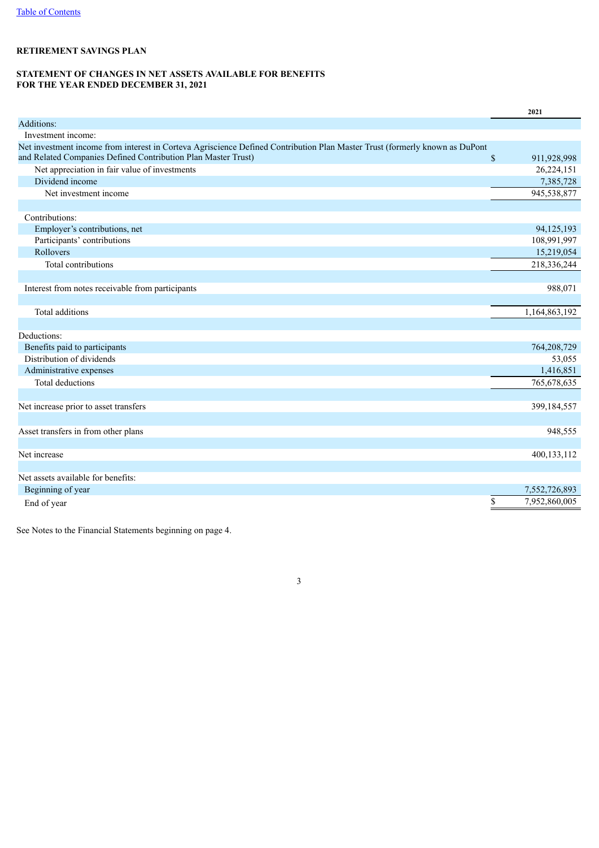## **STATEMENT OF CHANGES IN NET ASSETS AVAILABLE FOR BENEFITS FOR THE YEAR ENDED DECEMBER 31, 2021**

|                                                                                                                             |              | 2021          |
|-----------------------------------------------------------------------------------------------------------------------------|--------------|---------------|
| Additions:                                                                                                                  |              |               |
| Investment income:                                                                                                          |              |               |
| Net investment income from interest in Corteva Agriscience Defined Contribution Plan Master Trust (formerly known as DuPont |              |               |
| and Related Companies Defined Contribution Plan Master Trust)                                                               | $\mathbb{S}$ | 911,928,998   |
| Net appreciation in fair value of investments                                                                               |              | 26,224,151    |
| Dividend income                                                                                                             |              | 7,385,728     |
| Net investment income                                                                                                       |              | 945,538,877   |
|                                                                                                                             |              |               |
| Contributions:                                                                                                              |              |               |
| Employer's contributions, net                                                                                               |              | 94,125,193    |
| Participants' contributions                                                                                                 |              | 108,991,997   |
| Rollovers                                                                                                                   |              | 15,219,054    |
| Total contributions                                                                                                         |              | 218,336,244   |
|                                                                                                                             |              |               |
| Interest from notes receivable from participants                                                                            |              | 988,071       |
|                                                                                                                             |              |               |
| Total additions                                                                                                             |              | 1,164,863,192 |
|                                                                                                                             |              |               |
| Deductions:                                                                                                                 |              |               |
| Benefits paid to participants                                                                                               |              | 764,208,729   |
| Distribution of dividends                                                                                                   |              | 53,055        |
| Administrative expenses                                                                                                     |              | 1,416,851     |
| <b>Total deductions</b>                                                                                                     |              | 765,678,635   |
|                                                                                                                             |              |               |
| Net increase prior to asset transfers                                                                                       |              | 399,184,557   |
|                                                                                                                             |              |               |
| Asset transfers in from other plans                                                                                         |              | 948,555       |
|                                                                                                                             |              |               |
| Net increase                                                                                                                |              | 400,133,112   |
|                                                                                                                             |              |               |
| Net assets available for benefits:                                                                                          |              |               |
| Beginning of year                                                                                                           |              | 7,552,726,893 |
| End of year                                                                                                                 | \$           | 7,952,860,005 |

<span id="page-4-0"></span>See Notes to the Financial Statements beginning on page 4.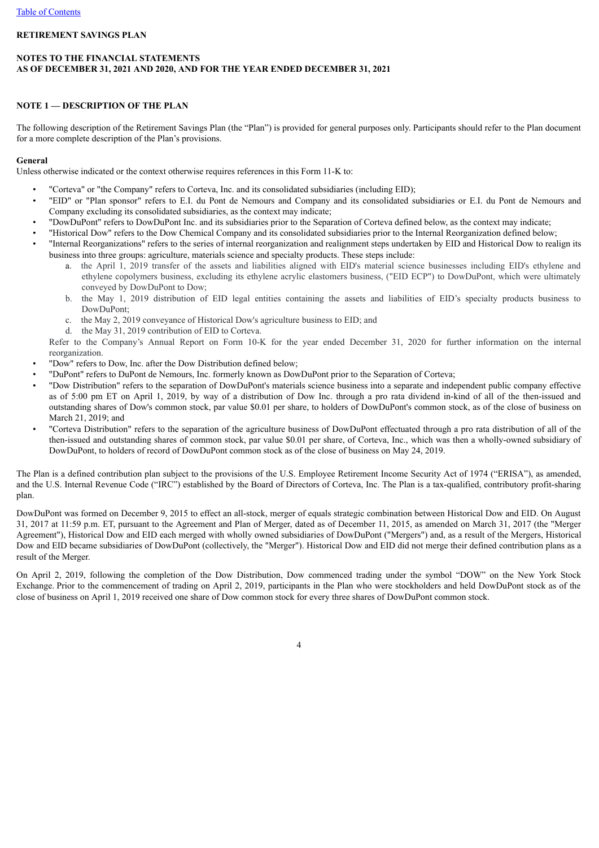## **NOTES TO THE FINANCIAL STATEMENTS AS OF DECEMBER 31, 2021 AND 2020, AND FOR THE YEAR ENDED DECEMBER 31, 2021**

## **NOTE 1 — DESCRIPTION OF THE PLAN**

The following description of the Retirement Savings Plan (the "Plan") is provided for general purposes only. Participants should refer to the Plan document for a more complete description of the Plan's provisions.

### **General**

Unless otherwise indicated or the context otherwise requires references in this Form 11-K to:

- "Corteva" or "the Company" refers to Corteva, Inc. and its consolidated subsidiaries (including EID);
- "EID" or "Plan sponsor" refers to E.I. du Pont de Nemours and Company and its consolidated subsidiaries or E.I. du Pont de Nemours and Company excluding its consolidated subsidiaries, as the context may indicate;
- "DowDuPont" refers to DowDuPont Inc. and its subsidiaries prior to the Separation of Corteva defined below, as the context may indicate;
- "Historical Dow" refers to the Dow Chemical Company and its consolidated subsidiaries prior to the Internal Reorganization defined below;
- "Internal Reorganizations" refers to the series of internal reorganization and realignment steps undertaken by EID and Historical Dow to realign its business into three groups: agriculture, materials science and specialty products. These steps include:
	- a. the April 1, 2019 transfer of the assets and liabilities aligned with EID's material science businesses including EID's ethylene and ethylene copolymers business, excluding its ethylene acrylic elastomers business, ("EID ECP") to DowDuPont, which were ultimately conveyed by DowDuPont to Dow;
	- b. the May 1, 2019 distribution of EID legal entities containing the assets and liabilities of EID's specialty products business to DowDuPont;
	- c. the May 2, 2019 conveyance of Historical Dow's agriculture business to EID; and
	- d. the May 31, 2019 contribution of EID to Corteva.

Refer to the Company's Annual Report on Form 10-K for the year ended December 31, 2020 for further information on the internal reorganization.

- "Dow" refers to Dow, Inc. after the Dow Distribution defined below;
- "DuPont" refers to DuPont de Nemours, Inc. formerly known as DowDuPont prior to the Separation of Corteva;
- "Dow Distribution" refers to the separation of DowDuPont's materials science business into a separate and independent public company effective as of 5:00 pm ET on April 1, 2019, by way of a distribution of Dow Inc. through a pro rata dividend in-kind of all of the then-issued and outstanding shares of Dow's common stock, par value \$0.01 per share, to holders of DowDuPont's common stock, as of the close of business on March 21, 2019; and
- "Corteva Distribution" refers to the separation of the agriculture business of DowDuPont effectuated through a pro rata distribution of all of the then-issued and outstanding shares of common stock, par value \$0.01 per share, of Corteva, Inc., which was then a wholly-owned subsidiary of DowDuPont, to holders of record of DowDuPont common stock as of the close of business on May 24, 2019.

The Plan is a defined contribution plan subject to the provisions of the U.S. Employee Retirement Income Security Act of 1974 ("ERISA"), as amended, and the U.S. Internal Revenue Code ("IRC") established by the Board of Directors of Corteva, Inc. The Plan is a tax-qualified, contributory profit-sharing plan.

DowDuPont was formed on December 9, 2015 to effect an all-stock, merger of equals strategic combination between Historical Dow and EID. On August 31, 2017 at 11:59 p.m. ET, pursuant to the Agreement and Plan of Merger, dated as of December 11, 2015, as amended on March 31, 2017 (the "Merger Agreement"), Historical Dow and EID each merged with wholly owned subsidiaries of DowDuPont ("Mergers") and, as a result of the Mergers, Historical Dow and EID became subsidiaries of DowDuPont (collectively, the "Merger"). Historical Dow and EID did not merge their defined contribution plans as a result of the Merger.

On April 2, 2019, following the completion of the Dow Distribution, Dow commenced trading under the symbol "DOW" on the New York Stock Exchange. Prior to the commencement of trading on April 2, 2019, participants in the Plan who were stockholders and held DowDuPont stock as of the close of business on April 1, 2019 received one share of Dow common stock for every three shares of DowDuPont common stock.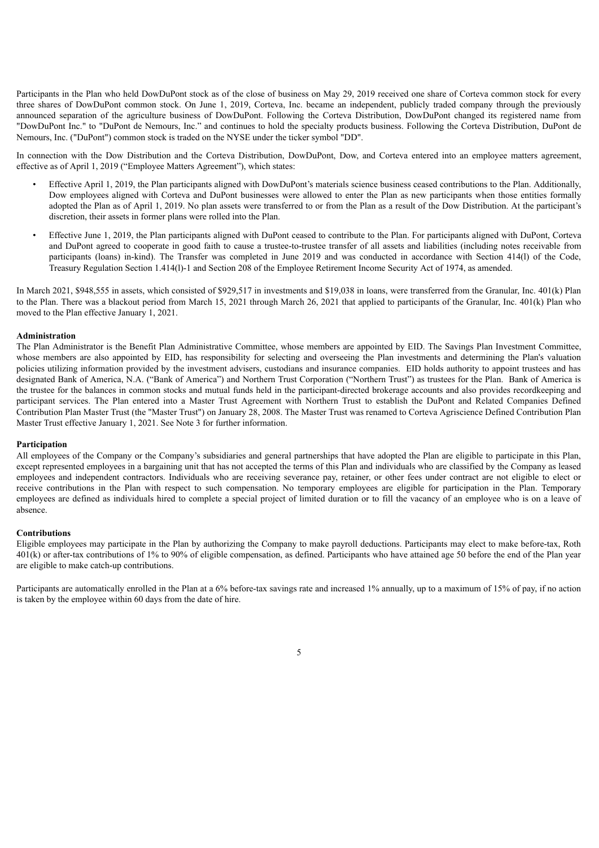Participants in the Plan who held DowDuPont stock as of the close of business on May 29, 2019 received one share of Corteva common stock for every three shares of DowDuPont common stock. On June 1, 2019, Corteva, Inc. became an independent, publicly traded company through the previously announced separation of the agriculture business of DowDuPont. Following the Corteva Distribution, DowDuPont changed its registered name from "DowDuPont Inc." to "DuPont de Nemours, Inc." and continues to hold the specialty products business. Following the Corteva Distribution, DuPont de Nemours, Inc. ("DuPont") common stock is traded on the NYSE under the ticker symbol "DD".

In connection with the Dow Distribution and the Corteva Distribution, DowDuPont, Dow, and Corteva entered into an employee matters agreement, effective as of April 1, 2019 ("Employee Matters Agreement"), which states:

- Effective April 1, 2019, the Plan participants aligned with DowDuPont's materials science business ceased contributions to the Plan. Additionally, Dow employees aligned with Corteva and DuPont businesses were allowed to enter the Plan as new participants when those entities formally adopted the Plan as of April 1, 2019. No plan assets were transferred to or from the Plan as a result of the Dow Distribution. At the participant's discretion, their assets in former plans were rolled into the Plan.
- Effective June 1, 2019, the Plan participants aligned with DuPont ceased to contribute to the Plan. For participants aligned with DuPont, Corteva and DuPont agreed to cooperate in good faith to cause a trustee-to-trustee transfer of all assets and liabilities (including notes receivable from participants (loans) in-kind). The Transfer was completed in June 2019 and was conducted in accordance with Section 414(l) of the Code, Treasury Regulation Section 1.414(l)-1 and Section 208 of the Employee Retirement Income Security Act of 1974, as amended.

In March 2021, \$948,555 in assets, which consisted of \$929,517 in investments and \$19,038 in loans, were transferred from the Granular, Inc. 401(k) Plan to the Plan. There was a blackout period from March 15, 2021 through March 26, 2021 that applied to participants of the Granular, Inc. 401(k) Plan who moved to the Plan effective January 1, 2021.

### **Administration**

The Plan Administrator is the Benefit Plan Administrative Committee, whose members are appointed by EID. The Savings Plan Investment Committee, whose members are also appointed by EID, has responsibility for selecting and overseeing the Plan investments and determining the Plan's valuation policies utilizing information provided by the investment advisers, custodians and insurance companies. EID holds authority to appoint trustees and has designated Bank of America, N.A. ("Bank of America") and Northern Trust Corporation ("Northern Trust") as trustees for the Plan. Bank of America is the trustee for the balances in common stocks and mutual funds held in the participant-directed brokerage accounts and also provides recordkeeping and participant services. The Plan entered into a Master Trust Agreement with Northern Trust to establish the DuPont and Related Companies Defined Contribution Plan Master Trust (the "Master Trust") on January 28, 2008. The Master Trust was renamed to Corteva Agriscience Defined Contribution Plan Master Trust effective January 1, 2021. See Note 3 for further information.

#### **Participation**

All employees of the Company or the Company's subsidiaries and general partnerships that have adopted the Plan are eligible to participate in this Plan, except represented employees in a bargaining unit that has not accepted the terms of this Plan and individuals who are classified by the Company as leased employees and independent contractors. Individuals who are receiving severance pay, retainer, or other fees under contract are not eligible to elect or receive contributions in the Plan with respect to such compensation. No temporary employees are eligible for participation in the Plan. Temporary employees are defined as individuals hired to complete a special project of limited duration or to fill the vacancy of an employee who is on a leave of absence.

### **Contributions**

Eligible employees may participate in the Plan by authorizing the Company to make payroll deductions. Participants may elect to make before-tax, Roth 401(k) or after-tax contributions of 1% to 90% of eligible compensation, as defined. Participants who have attained age 50 before the end of the Plan year are eligible to make catch-up contributions.

Participants are automatically enrolled in the Plan at a 6% before-tax savings rate and increased 1% annually, up to a maximum of 15% of pay, if no action is taken by the employee within 60 days from the date of hire.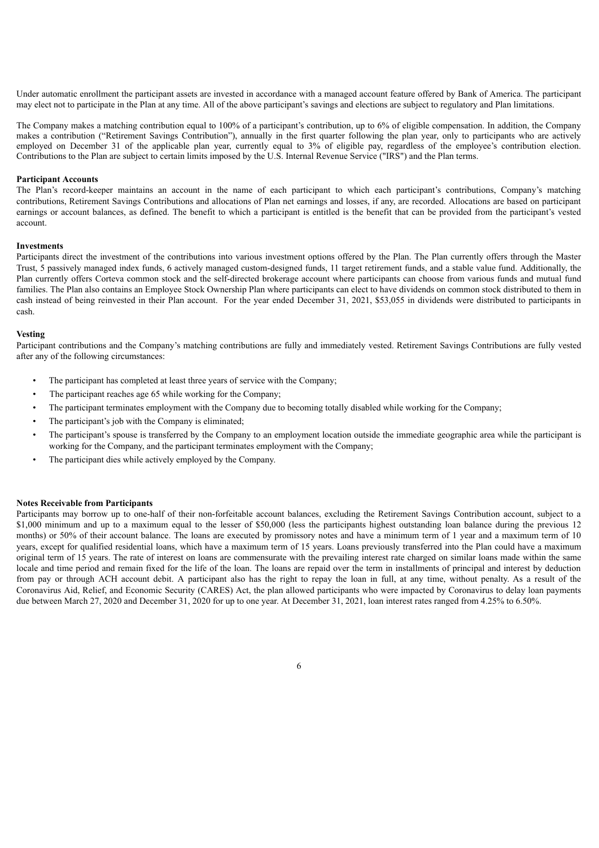Under automatic enrollment the participant assets are invested in accordance with a managed account feature offered by Bank of America. The participant may elect not to participate in the Plan at any time. All of the above participant's savings and elections are subject to regulatory and Plan limitations.

The Company makes a matching contribution equal to 100% of a participant's contribution, up to 6% of eligible compensation. In addition, the Company makes a contribution ("Retirement Savings Contribution"), annually in the first quarter following the plan year, only to participants who are actively employed on December 31 of the applicable plan year, currently equal to 3% of eligible pay, regardless of the employee's contribution election. Contributions to the Plan are subject to certain limits imposed by the U.S. Internal Revenue Service ("IRS") and the Plan terms.

#### **Participant Accounts**

The Plan's record-keeper maintains an account in the name of each participant to which each participant's contributions, Company's matching contributions, Retirement Savings Contributions and allocations of Plan net earnings and losses, if any, are recorded. Allocations are based on participant earnings or account balances, as defined. The benefit to which a participant is entitled is the benefit that can be provided from the participant's vested account.

## **Investments**

Participants direct the investment of the contributions into various investment options offered by the Plan. The Plan currently offers through the Master Trust, 5 passively managed index funds, 6 actively managed custom-designed funds, 11 target retirement funds, and a stable value fund. Additionally, the Plan currently offers Corteva common stock and the self-directed brokerage account where participants can choose from various funds and mutual fund families. The Plan also contains an Employee Stock Ownership Plan where participants can elect to have dividends on common stock distributed to them in cash instead of being reinvested in their Plan account. For the year ended December 31, 2021, \$53,055 in dividends were distributed to participants in cash.

## **Vesting**

Participant contributions and the Company's matching contributions are fully and immediately vested. Retirement Savings Contributions are fully vested after any of the following circumstances:

- The participant has completed at least three years of service with the Company;
- The participant reaches age 65 while working for the Company;
- The participant terminates employment with the Company due to becoming totally disabled while working for the Company;
- The participant's job with the Company is eliminated;
- The participant's spouse is transferred by the Company to an employment location outside the immediate geographic area while the participant is working for the Company, and the participant terminates employment with the Company;
- The participant dies while actively employed by the Company.

#### **Notes Receivable from Participants**

Participants may borrow up to one-half of their non-forfeitable account balances, excluding the Retirement Savings Contribution account, subject to a \$1,000 minimum and up to a maximum equal to the lesser of \$50,000 (less the participants highest outstanding loan balance during the previous 12 months) or 50% of their account balance. The loans are executed by promissory notes and have a minimum term of 1 year and a maximum term of 10 years, except for qualified residential loans, which have a maximum term of 15 years. Loans previously transferred into the Plan could have a maximum original term of 15 years. The rate of interest on loans are commensurate with the prevailing interest rate charged on similar loans made within the same locale and time period and remain fixed for the life of the loan. The loans are repaid over the term in installments of principal and interest by deduction from pay or through ACH account debit. A participant also has the right to repay the loan in full, at any time, without penalty. As a result of the Coronavirus Aid, Relief, and Economic Security (CARES) Act, the plan allowed participants who were impacted by Coronavirus to delay loan payments due between March 27, 2020 and December 31, 2020 for up to one year. At December 31, 2021, loan interest rates ranged from 4.25% to 6.50%.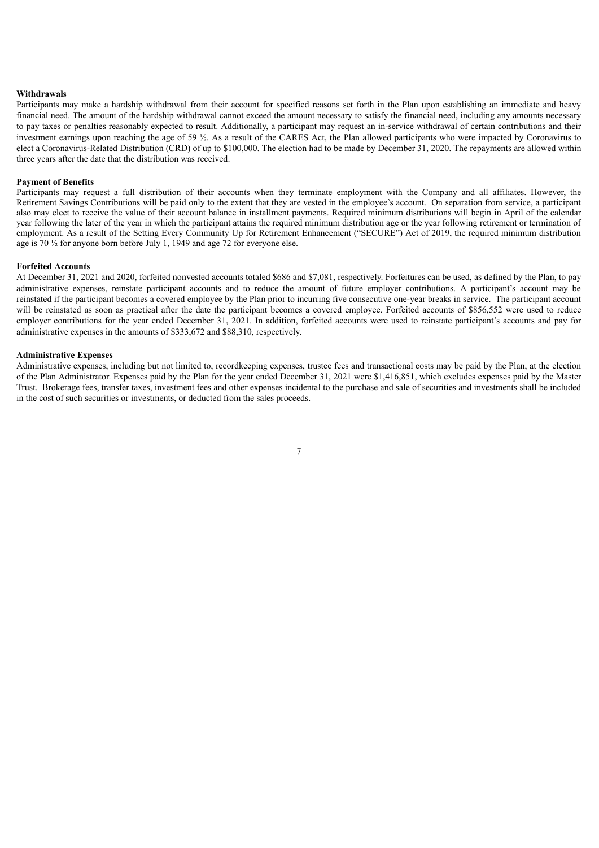#### **Withdrawals**

Participants may make a hardship withdrawal from their account for specified reasons set forth in the Plan upon establishing an immediate and heavy financial need. The amount of the hardship withdrawal cannot exceed the amount necessary to satisfy the financial need, including any amounts necessary to pay taxes or penalties reasonably expected to result. Additionally, a participant may request an in-service withdrawal of certain contributions and their investment earnings upon reaching the age of 59 ½. As a result of the CARES Act, the Plan allowed participants who were impacted by Coronavirus to elect a Coronavirus-Related Distribution (CRD) of up to \$100,000. The election had to be made by December 31, 2020. The repayments are allowed within three years after the date that the distribution was received.

#### **Payment of Benefits**

Participants may request a full distribution of their accounts when they terminate employment with the Company and all affiliates. However, the Retirement Savings Contributions will be paid only to the extent that they are vested in the employee's account. On separation from service, a participant also may elect to receive the value of their account balance in installment payments. Required minimum distributions will begin in April of the calendar year following the later of the year in which the participant attains the required minimum distribution age or the year following retirement or termination of employment. As a result of the Setting Every Community Up for Retirement Enhancement ("SECURE") Act of 2019, the required minimum distribution age is  $70\frac{1}{2}$  for anyone born before July 1, 1949 and age 72 for everyone else.

#### **Forfeited Accounts**

At December 31, 2021 and 2020, forfeited nonvested accounts totaled \$686 and \$7,081, respectively. Forfeitures can be used, as defined by the Plan, to pay administrative expenses, reinstate participant accounts and to reduce the amount of future employer contributions. A participant's account may be reinstated if the participant becomes a covered employee by the Plan prior to incurring five consecutive one-year breaks in service. The participant account will be reinstated as soon as practical after the date the participant becomes a covered employee. Forfeited accounts of \$856,552 were used to reduce employer contributions for the year ended December 31, 2021. In addition, forfeited accounts were used to reinstate participant's accounts and pay for administrative expenses in the amounts of \$333,672 and \$88,310, respectively.

#### **Administrative Expenses**

Administrative expenses, including but not limited to, recordkeeping expenses, trustee fees and transactional costs may be paid by the Plan, at the election of the Plan Administrator. Expenses paid by the Plan for the year ended December 31, 2021 were \$1,416,851, which excludes expenses paid by the Master Trust. Brokerage fees, transfer taxes, investment fees and other expenses incidental to the purchase and sale of securities and investments shall be included in the cost of such securities or investments, or deducted from the sales proceeds.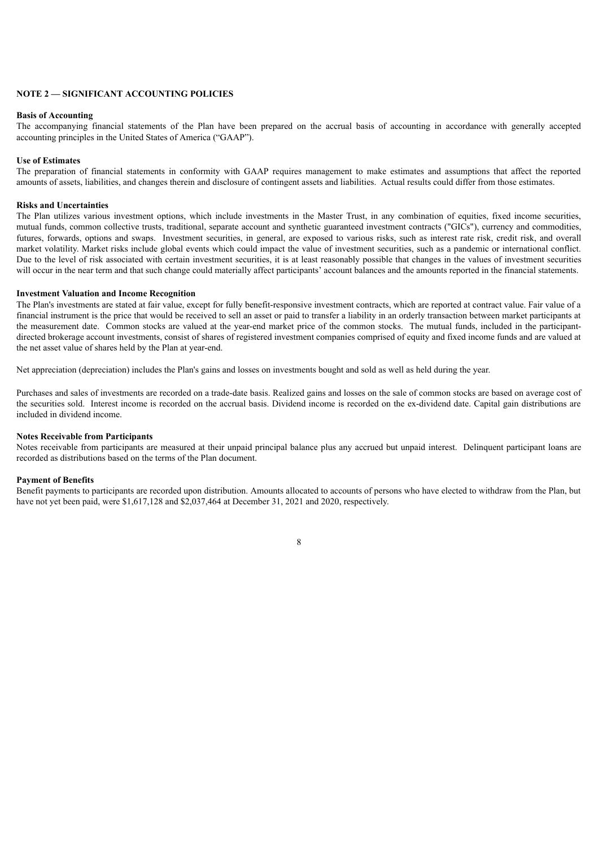## **NOTE 2 — SIGNIFICANT ACCOUNTING POLICIES**

#### **Basis of Accounting**

The accompanying financial statements of the Plan have been prepared on the accrual basis of accounting in accordance with generally accepted accounting principles in the United States of America ("GAAP").

#### **Use of Estimates**

The preparation of financial statements in conformity with GAAP requires management to make estimates and assumptions that affect the reported amounts of assets, liabilities, and changes therein and disclosure of contingent assets and liabilities. Actual results could differ from those estimates.

#### **Risks and Uncertainties**

The Plan utilizes various investment options, which include investments in the Master Trust, in any combination of equities, fixed income securities, mutual funds, common collective trusts, traditional, separate account and synthetic guaranteed investment contracts ("GICs"), currency and commodities, futures, forwards, options and swaps. Investment securities, in general, are exposed to various risks, such as interest rate risk, credit risk, and overall market volatility. Market risks include global events which could impact the value of investment securities, such as a pandemic or international conflict. Due to the level of risk associated with certain investment securities, it is at least reasonably possible that changes in the values of investment securities will occur in the near term and that such change could materially affect participants' account balances and the amounts reported in the financial statements.

#### **Investment Valuation and Income Recognition**

The Plan's investments are stated at fair value, except for fully benefit-responsive investment contracts, which are reported at contract value. Fair value of a financial instrument is the price that would be received to sell an asset or paid to transfer a liability in an orderly transaction between market participants at the measurement date. Common stocks are valued at the year-end market price of the common stocks. The mutual funds, included in the participantdirected brokerage account investments, consist of shares of registered investment companies comprised of equity and fixed income funds and are valued at the net asset value of shares held by the Plan at year-end.

Net appreciation (depreciation) includes the Plan's gains and losses on investments bought and sold as well as held during the year.

Purchases and sales of investments are recorded on a trade-date basis. Realized gains and losses on the sale of common stocks are based on average cost of the securities sold. Interest income is recorded on the accrual basis. Dividend income is recorded on the ex-dividend date. Capital gain distributions are included in dividend income.

#### **Notes Receivable from Participants**

Notes receivable from participants are measured at their unpaid principal balance plus any accrued but unpaid interest. Delinquent participant loans are recorded as distributions based on the terms of the Plan document.

#### **Payment of Benefits**

Benefit payments to participants are recorded upon distribution. Amounts allocated to accounts of persons who have elected to withdraw from the Plan, but have not yet been paid, were \$1,617,128 and \$2,037,464 at December 31, 2021 and 2020, respectively.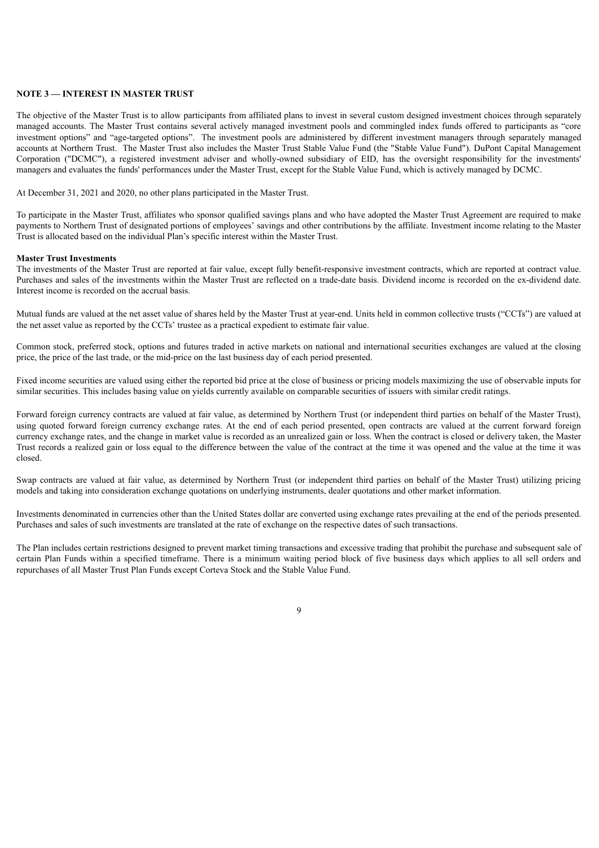## **NOTE 3 — INTEREST IN MASTER TRUST**

The objective of the Master Trust is to allow participants from affiliated plans to invest in several custom designed investment choices through separately managed accounts. The Master Trust contains several actively managed investment pools and commingled index funds offered to participants as "core investment options" and "age-targeted options". The investment pools are administered by different investment managers through separately managed accounts at Northern Trust. The Master Trust also includes the Master Trust Stable Value Fund (the "Stable Value Fund"). DuPont Capital Management Corporation ("DCMC"), a registered investment adviser and wholly-owned subsidiary of EID, has the oversight responsibility for the investments' managers and evaluates the funds' performances under the Master Trust, except for the Stable Value Fund, which is actively managed by DCMC.

At December 31, 2021 and 2020, no other plans participated in the Master Trust.

To participate in the Master Trust, affiliates who sponsor qualified savings plans and who have adopted the Master Trust Agreement are required to make payments to Northern Trust of designated portions of employees' savings and other contributions by the affiliate. Investment income relating to the Master Trust is allocated based on the individual Plan's specific interest within the Master Trust.

## **Master Trust Investments**

The investments of the Master Trust are reported at fair value, except fully benefit-responsive investment contracts, which are reported at contract value. Purchases and sales of the investments within the Master Trust are reflected on a trade-date basis. Dividend income is recorded on the ex-dividend date. Interest income is recorded on the accrual basis.

Mutual funds are valued at the net asset value of shares held by the Master Trust at year-end. Units held in common collective trusts ("CCTs") are valued at the net asset value as reported by the CCTs' trustee as a practical expedient to estimate fair value.

Common stock, preferred stock, options and futures traded in active markets on national and international securities exchanges are valued at the closing price, the price of the last trade, or the mid-price on the last business day of each period presented.

Fixed income securities are valued using either the reported bid price at the close of business or pricing models maximizing the use of observable inputs for similar securities. This includes basing value on yields currently available on comparable securities of issuers with similar credit ratings.

Forward foreign currency contracts are valued at fair value, as determined by Northern Trust (or independent third parties on behalf of the Master Trust), using quoted forward foreign currency exchange rates. At the end of each period presented, open contracts are valued at the current forward foreign currency exchange rates, and the change in market value is recorded as an unrealized gain or loss. When the contract is closed or delivery taken, the Master Trust records a realized gain or loss equal to the difference between the value of the contract at the time it was opened and the value at the time it was closed.

Swap contracts are valued at fair value, as determined by Northern Trust (or independent third parties on behalf of the Master Trust) utilizing pricing models and taking into consideration exchange quotations on underlying instruments, dealer quotations and other market information.

Investments denominated in currencies other than the United States dollar are converted using exchange rates prevailing at the end of the periods presented. Purchases and sales of such investments are translated at the rate of exchange on the respective dates of such transactions.

The Plan includes certain restrictions designed to prevent market timing transactions and excessive trading that prohibit the purchase and subsequent sale of certain Plan Funds within a specified timeframe. There is a minimum waiting period block of five business days which applies to all sell orders and repurchases of all Master Trust Plan Funds except Corteva Stock and the Stable Value Fund.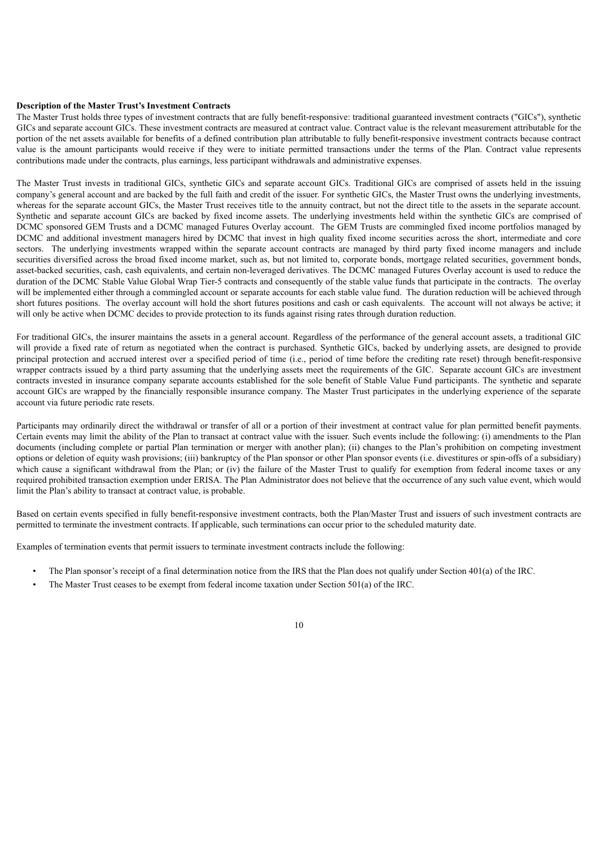#### **Description of the Master Trust's Investment Contracts**

The Master Trust holds three types of investment contracts that are fully benefit-responsive: traditional guaranteed investment contracts ("GICs"), synthetic GICs and separate account GICs. These investment contracts are measured at contract value. Contract value is the relevant measurement attributable for the portion of the net assets available for benefits of a defined contribution plan attributable to fully benefit-responsive investment contracts because contract value is the amount participants would receive if they were to initiate permitted transactions under the terms of the Plan. Contract value represents contributions made under the contracts, plus earnings, less participant withdrawals and administrative expenses.

The Master Trust invests in traditional GICs, synthetic GICs and separate account GICs. Traditional GICs are comprised of assets held in the issuing company's general account and are backed by the full faith and credit of the issuer. For synthetic GICs, the Master Trust owns the underlying investments, whereas for the separate account GICs, the Master Trust receives title to the annuity contract, but not the direct title to the assets in the separate account. Synthetic and separate account GICs are backed by fixed income assets. The underlying investments held within the synthetic GICs are comprised of DCMC sponsored GEM Trusts and a DCMC managed Futures Overlay account. The GEM Trusts are commingled fixed income portfolios managed by DCMC and additional investment managers hired by DCMC that invest in high quality fixed income securities across the short, intermediate and core sectors. The underlying investments wrapped within the separate account contracts are managed by third party fixed income managers and include securities diversified across the broad fixed income market, such as, but not limited to, corporate bonds, mortgage related securities, government bonds, asset-backed securities, cash, cash equivalents, and certain non-leveraged derivatives. The DCMC managed Futures Overlay account is used to reduce the duration of the DCMC Stable Value Global Wrap Tier-5 contracts and consequently of the stable value funds that participate in the contracts. The overlay will be implemented either through a commingled account or separate accounts for each stable value fund. The duration reduction will be achieved through short futures positions. The overlay account will hold the short futures positions and cash or cash equivalents. The account will not always be active; it will only be active when DCMC decides to provide protection to its funds against rising rates through duration reduction.

For traditional GICs, the insurer maintains the assets in a general account. Regardless of the performance of the general account assets, a traditional GIC will provide a fixed rate of return as negotiated when the contract is purchased. Synthetic GICs, backed by underlying assets, are designed to provide principal protection and accrued interest over a specified period of time (i.e., period of time before the crediting rate reset) through benefit-responsive wrapper contracts issued by a third party assuming that the underlying assets meet the requirements of the GIC. Separate account GICs are investment contracts invested in insurance company separate accounts established for the sole benefit of Stable Value Fund participants. The synthetic and separate account GICs are wrapped by the financially responsible insurance company. The Master Trust participates in the underlying experience of the separate account via future periodic rate resets.

Participants may ordinarily direct the withdrawal or transfer of all or a portion of their investment at contract value for plan permitted benefit payments. Certain events may limit the ability of the Plan to transact at contract value with the issuer. Such events include the following: (i) amendments to the Plan documents (including complete or partial Plan termination or merger with another plan); (ii) changes to the Plan's prohibition on competing investment options or deletion of equity wash provisions; (iii) bankruptcy of the Plan sponsor or other Plan sponsor events (i.e. divestitures or spin-offs of a subsidiary) which cause a significant withdrawal from the Plan; or (iv) the failure of the Master Trust to qualify for exemption from federal income taxes or any required prohibited transaction exemption under ERISA. The Plan Administrator does not believe that the occurrence of any such value event, which would limit the Plan's ability to transact at contract value, is probable.

Based on certain events specified in fully benefit-responsive investment contracts, both the Plan/Master Trust and issuers of such investment contracts are permitted to terminate the investment contracts. If applicable, such terminations can occur prior to the scheduled maturity date.

Examples of termination events that permit issuers to terminate investment contracts include the following:

- The Plan sponsor's receipt of a final determination notice from the IRS that the Plan does not qualify under Section 401(a) of the IRC.
- The Master Trust ceases to be exempt from federal income taxation under Section 501(a) of the IRC.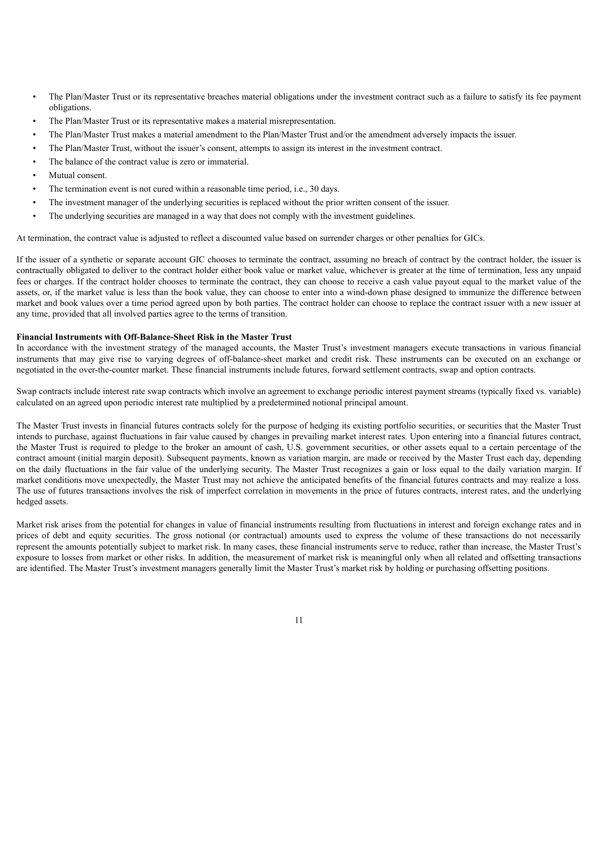- The Plan/Master Trust or its representative breaches material obligations under the investment contract such as a failure to satisfy its fee payment obligations.
- The Plan/Master Trust or its representative makes a material misrepresentation.
- The Plan/Master Trust makes a material amendment to the Plan/Master Trust and/or the amendment adversely impacts the issuer.
- The Plan/Master Trust, without the issuer's consent, attempts to assign its interest in the investment contract.
- The balance of the contract value is zero or immaterial.
- Mutual consent.
- The termination event is not cured within a reasonable time period, i.e., 30 days.
- The investment manager of the underlying securities is replaced without the prior written consent of the issuer.
- The underlying securities are managed in a way that does not comply with the investment guidelines.

At termination, the contract value is adjusted to reflect a discounted value based on surrender charges or other penalties for GICs.

If the issuer of a synthetic or separate account GIC chooses to terminate the contract, assuming no breach of contract by the contract holder, the issuer is contractually obligated to deliver to the contract holder either book value or market value, whichever is greater at the time of termination, less any unpaid fees or charges. If the contract holder chooses to terminate the contract, they can choose to receive a cash value payout equal to the market value of the assets, or, if the market value is less than the book value, they can choose to enter into a wind-down phase designed to immunize the difference between market and book values over a time period agreed upon by both parties. The contract holder can choose to replace the contract issuer with a new issuer at any time, provided that all involved parties agree to the terms of transition.

## **Financial Instruments with Off-Balance-Sheet Risk in the Master Trust**

In accordance with the investment strategy of the managed accounts, the Master Trust's investment managers execute transactions in various financial instruments that may give rise to varying degrees of off-balance-sheet market and credit risk. These instruments can be executed on an exchange or negotiated in the over-the-counter market. These financial instruments include futures, forward settlement contracts, swap and option contracts.

Swap contracts include interest rate swap contracts which involve an agreement to exchange periodic interest payment streams (typically fixed vs. variable) calculated on an agreed upon periodic interest rate multiplied by a predetermined notional principal amount.

The Master Trust invests in financial futures contracts solely for the purpose of hedging its existing portfolio securities, or securities that the Master Trust intends to purchase, against fluctuations in fair value caused by changes in prevailing market interest rates. Upon entering into a financial futures contract, the Master Trust is required to pledge to the broker an amount of cash, U.S. government securities, or other assets equal to a certain percentage of the contract amount (initial margin deposit). Subsequent payments, known as variation margin, are made or received by the Master Trust each day, depending on the daily fluctuations in the fair value of the underlying security. The Master Trust recognizes a gain or loss equal to the daily variation margin. If market conditions move unexpectedly, the Master Trust may not achieve the anticipated benefits of the financial futures contracts and may realize a loss. The use of futures transactions involves the risk of imperfect correlation in movements in the price of futures contracts, interest rates, and the underlying hedged assets.

Market risk arises from the potential for changes in value of financial instruments resulting from fluctuations in interest and foreign exchange rates and in prices of debt and equity securities. The gross notional (or contractual) amounts used to express the volume of these transactions do not necessarily represent the amounts potentially subject to market risk. In many cases, these financial instruments serve to reduce, rather than increase, the Master Trust's exposure to losses from market or other risks. In addition, the measurement of market risk is meaningful only when all related and offsetting transactions are identified. The Master Trust's investment managers generally limit the Master Trust's market risk by holding or purchasing offsetting positions.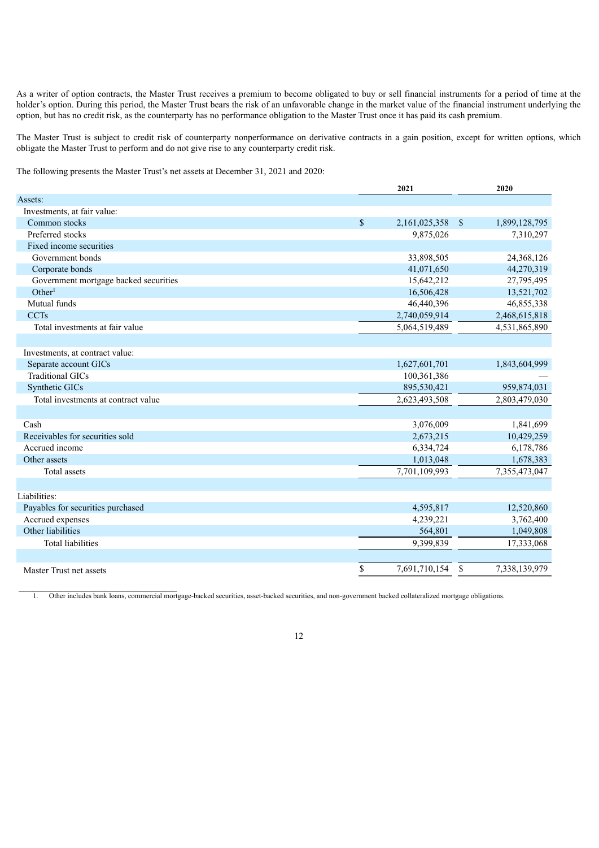As a writer of option contracts, the Master Trust receives a premium to become obligated to buy or sell financial instruments for a period of time at the holder's option. During this period, the Master Trust bears the risk of an unfavorable change in the market value of the financial instrument underlying the option, but has no credit risk, as the counterparty has no performance obligation to the Master Trust once it has paid its cash premium.

The Master Trust is subject to credit risk of counterparty nonperformance on derivative contracts in a gain position, except for written options, which obligate the Master Trust to perform and do not give rise to any counterparty credit risk.

The following presents the Master Trust's net assets at December 31, 2021 and 2020:

|                                       | 2021          | 2020                                   |
|---------------------------------------|---------------|----------------------------------------|
| Assets:                               |               |                                        |
| Investments, at fair value:           |               |                                        |
| Common stocks                         | \$            | 2,161,025,358<br>1,899,128,795<br>- \$ |
| Preferred stocks                      |               | 9,875,026<br>7,310,297                 |
| Fixed income securities               |               |                                        |
| Government bonds                      |               | 24,368,126<br>33,898,505               |
| Corporate bonds                       |               | 44,270,319<br>41,071,650               |
| Government mortgage backed securities |               | 15,642,212<br>27,795,495               |
| Other <sup>1</sup>                    |               | 13,521,702<br>16,506,428               |
| Mutual funds                          |               | 46,440,396<br>46,855,338               |
| <b>CCTs</b>                           | 2,740,059,914 | 2,468,615,818                          |
| Total investments at fair value       | 5,064,519,489 | 4,531,865,890                          |
|                                       |               |                                        |
| Investments, at contract value:       |               |                                        |
| Separate account GICs                 | 1,627,601,701 | 1,843,604,999                          |
| <b>Traditional GICs</b>               |               | 100,361,386                            |
| Synthetic GICs                        |               | 895,530,421<br>959,874,031             |
| Total investments at contract value   | 2,623,493,508 | 2,803,479,030                          |
|                                       |               |                                        |
| Cash                                  |               | 3,076,009<br>1,841,699                 |
| Receivables for securities sold       |               | 2,673,215<br>10,429,259                |
| Accrued income                        |               | 6,334,724<br>6,178,786                 |
| Other assets                          |               | 1,013,048<br>1,678,383                 |
| Total assets                          | 7,701,109,993 | 7,355,473,047                          |
|                                       |               |                                        |
| Liabilities:                          |               |                                        |
| Payables for securities purchased     |               | 4,595,817<br>12,520,860                |
| Accrued expenses                      |               | 4,239,221<br>3,762,400                 |
| Other liabilities                     |               | 564,801<br>1,049,808                   |
| <b>Total liabilities</b>              |               | 9,399,839<br>17,333,068                |
|                                       |               |                                        |
| Master Trust net assets               | \$            | 7,691,710,154<br>\$<br>7,338,139,979   |

1. Other includes bank loans, commercial mortgage-backed securities, asset-backed securities, and non-government backed collateralized mortgage obligations.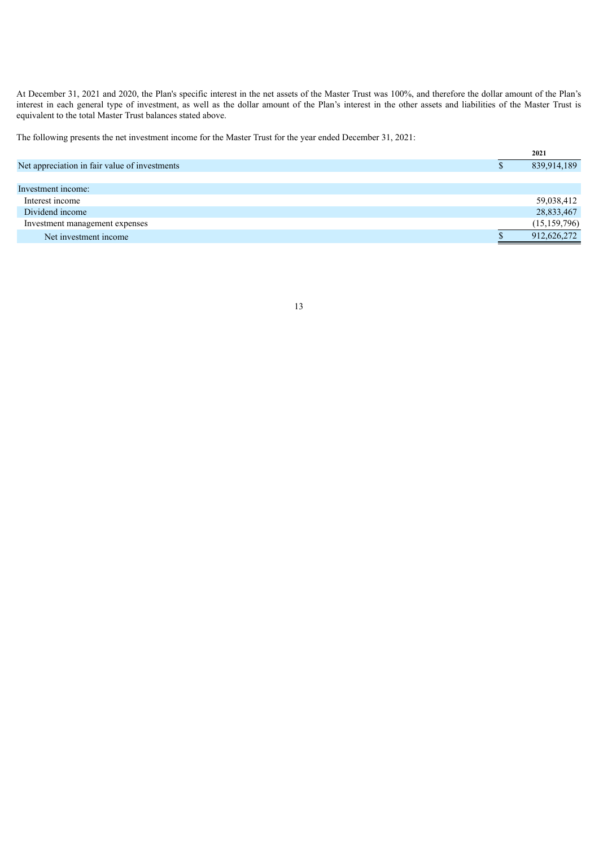At December 31, 2021 and 2020, the Plan's specific interest in the net assets of the Master Trust was 100%, and therefore the dollar amount of the Plan's interest in each general type of investment, as well as the dollar amount of the Plan's interest in the other assets and liabilities of the Master Trust is equivalent to the total Master Trust balances stated above.

The following presents the net investment income for the Master Trust for the year ended December 31, 2021:

| 2021           |
|----------------|
| 839,914,189    |
|                |
|                |
| 59,038,412     |
| 28,833,467     |
| (15, 159, 796) |
| 912,626,272    |
|                |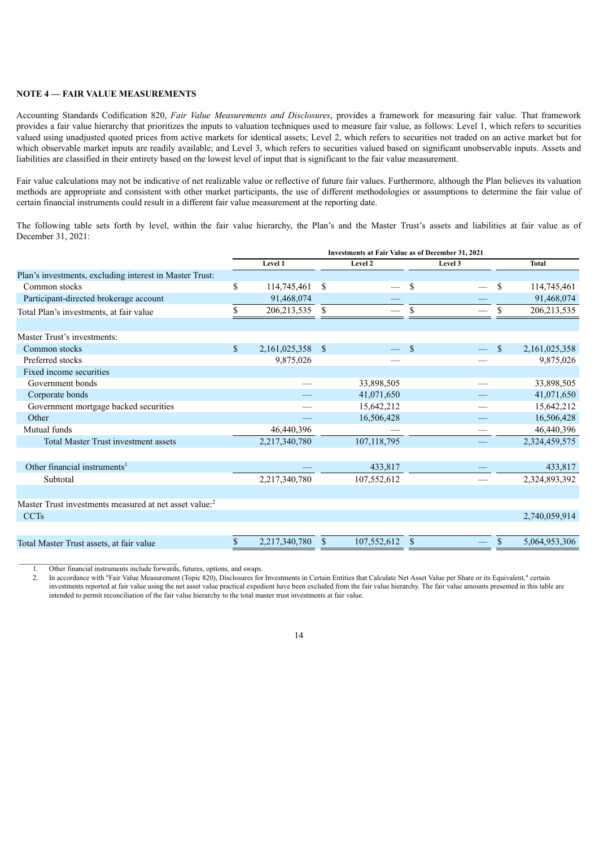## **NOTE 4 — FAIR VALUE MEASUREMENTS**

Accounting Standards Codification 820, *Fair Value Measurements and Disclosures*, provides a framework for measuring fair value. That framework provides a fair value hierarchy that prioritizes the inputs to valuation techniques used to measure fair value, as follows: Level 1, which refers to securities valued using unadjusted quoted prices from active markets for identical assets; Level 2, which refers to securities not traded on an active market but for which observable market inputs are readily available; and Level 3, which refers to securities valued based on significant unobservable inputs. Assets and liabilities are classified in their entirety based on the lowest level of input that is significant to the fair value measurement.

Fair value calculations may not be indicative of net realizable value or reflective of future fair values. Furthermore, although the Plan believes its valuation methods are appropriate and consistent with other market participants, the use of different methodologies or assumptions to determine the fair value of certain financial instruments could result in a different fair value measurement at the reporting date.

The following table sets forth by level, within the fair value hierarchy, the Plan's and the Master Trust's assets and liabilities at fair value as of December 31, 2021:

|                                                                    | <b>Investments at Fair Value as of December 31, 2021</b> |                  |              |               |               |  |    |               |
|--------------------------------------------------------------------|----------------------------------------------------------|------------------|--------------|---------------|---------------|--|----|---------------|
|                                                                    |                                                          | Level 1          | Level 2      |               | Level 3       |  |    | <b>Total</b>  |
| Plan's investments, excluding interest in Master Trust:            |                                                          |                  |              |               |               |  |    |               |
| Common stocks                                                      | \$                                                       | 114,745,461      | \$           |               | \$            |  | \$ | 114,745,461   |
| Participant-directed brokerage account                             |                                                          | 91,468,074       |              |               |               |  |    | 91,468,074    |
| Total Plan's investments, at fair value                            |                                                          | 206, 213, 535    | \$           |               | \$            |  | \$ | 206, 213, 535 |
| Master Trust's investments:                                        |                                                          |                  |              |               |               |  |    |               |
| Common stocks                                                      | $\mathbb{S}$                                             | 2,161,025,358 \$ |              |               | <sup>S</sup>  |  | \$ | 2,161,025,358 |
| Preferred stocks                                                   |                                                          | 9,875,026        |              |               |               |  |    | 9,875,026     |
| Fixed income securities                                            |                                                          |                  |              |               |               |  |    |               |
| Government bonds                                                   |                                                          |                  |              | 33,898,505    |               |  |    | 33,898,505    |
| Corporate bonds                                                    |                                                          |                  |              | 41,071,650    |               |  |    | 41,071,650    |
| Government mortgage backed securities                              |                                                          |                  |              | 15,642,212    |               |  |    | 15,642,212    |
| Other                                                              |                                                          |                  |              | 16,506,428    |               |  |    | 16,506,428    |
| Mutual funds                                                       |                                                          | 46,440,396       |              |               |               |  |    | 46,440,396    |
| <b>Total Master Trust investment assets</b>                        |                                                          | 2,217,340,780    |              | 107, 118, 795 |               |  |    | 2,324,459,575 |
|                                                                    |                                                          |                  |              |               |               |  |    |               |
| Other financial instruments <sup>1</sup>                           |                                                          |                  |              | 433,817       |               |  |    | 433,817       |
| Subtotal                                                           |                                                          | 2,217,340,780    |              | 107,552,612   |               |  |    | 2,324,893,392 |
|                                                                    |                                                          |                  |              |               |               |  |    |               |
| Master Trust investments measured at net asset value: <sup>2</sup> |                                                          |                  |              |               |               |  |    |               |
| <b>CCTs</b>                                                        |                                                          |                  |              |               |               |  |    | 2,740,059,914 |
|                                                                    |                                                          |                  |              |               |               |  |    |               |
| Total Master Trust assets, at fair value                           | \$                                                       | 2,217,340,780    | $\mathbb{S}$ | 107,552,612   | $\mathcal{S}$ |  | \$ | 5,064,953,306 |

1. Other financial instruments include forwards, futures, options, and swaps.

2. In accordance with "Fair Value Measurement (Topic 820), Disclosures for Investments in Certain Entities that Calculate Net Asset Value per Share or its Equivalent," certain investments reported at fair value using the net asset value practical expedient have been excluded from the fair value hierarchy. The fair value amounts presented in this table are intended to permit reconciliation of the fair value hierarchy to the total master trust investments at fair value.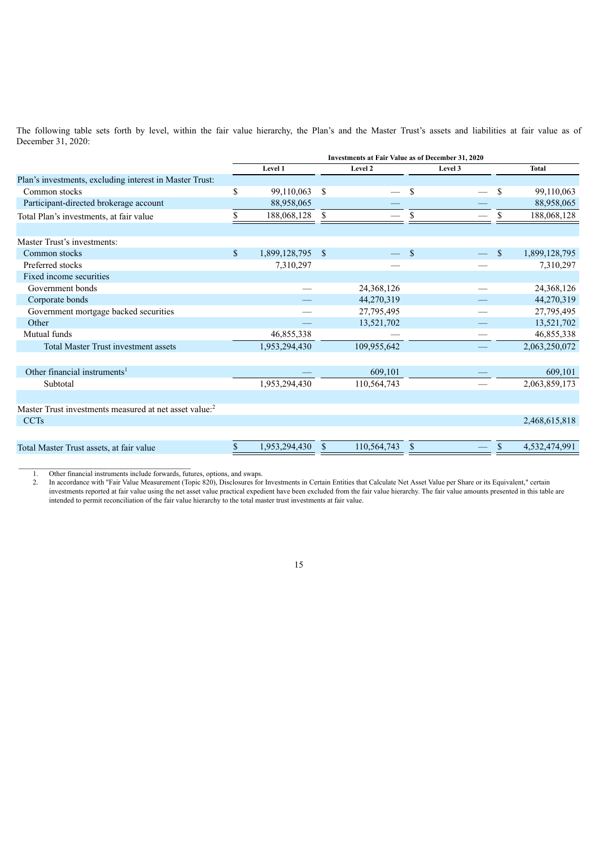The following table sets forth by level, within the fair value hierarchy, the Plan's and the Master Trust's assets and liabilities at fair value as of December 31, 2020:

|                                                                    | <b>Investments at Fair Value as of December 31, 2020</b> |               |              |             |               |         |             |               |
|--------------------------------------------------------------------|----------------------------------------------------------|---------------|--------------|-------------|---------------|---------|-------------|---------------|
|                                                                    |                                                          | Level 1       |              | Level 2     |               | Level 3 |             | <b>Total</b>  |
| Plan's investments, excluding interest in Master Trust:            |                                                          |               |              |             |               |         |             |               |
| Common stocks                                                      | \$                                                       | 99,110,063    | \$           |             | <sup>\$</sup> |         | \$          | 99,110,063    |
| Participant-directed brokerage account                             |                                                          | 88,958,065    |              |             |               |         |             | 88,958,065    |
| Total Plan's investments, at fair value                            |                                                          | 188,068,128   | \$           |             |               |         |             | 188,068,128   |
| Master Trust's investments:                                        |                                                          |               |              |             |               |         |             |               |
| Common stocks                                                      | $\mathbb{S}$                                             | 1,899,128,795 | $\mathbf{s}$ |             | <sup>S</sup>  |         | $\mathbf S$ | 1,899,128,795 |
| Preferred stocks                                                   |                                                          | 7,310,297     |              |             |               |         |             | 7,310,297     |
| Fixed income securities                                            |                                                          |               |              |             |               |         |             |               |
| Government bonds                                                   |                                                          |               |              | 24,368,126  |               |         |             | 24,368,126    |
| Corporate bonds                                                    |                                                          |               |              | 44,270,319  |               |         |             | 44,270,319    |
| Government mortgage backed securities                              |                                                          |               |              | 27,795,495  |               |         |             | 27,795,495    |
| Other                                                              |                                                          |               |              | 13,521,702  |               |         |             | 13,521,702    |
| Mutual funds                                                       |                                                          | 46,855,338    |              |             |               |         |             | 46,855,338    |
| <b>Total Master Trust investment assets</b>                        |                                                          | 1,953,294,430 |              | 109,955,642 |               |         |             | 2,063,250,072 |
|                                                                    |                                                          |               |              |             |               |         |             |               |
| Other financial instruments <sup>1</sup>                           |                                                          |               |              | 609,101     |               |         |             | 609,101       |
| Subtotal                                                           |                                                          | 1,953,294,430 |              | 110,564,743 |               |         |             | 2,063,859,173 |
|                                                                    |                                                          |               |              |             |               |         |             |               |
| Master Trust investments measured at net asset value: <sup>2</sup> |                                                          |               |              |             |               |         |             |               |
| <b>CCTs</b>                                                        |                                                          |               |              |             |               |         |             | 2,468,615,818 |
|                                                                    |                                                          |               |              |             |               |         |             |               |
| Total Master Trust assets, at fair value                           |                                                          | 1,953,294,430 |              | 110,564,743 |               |         |             | 4,532,474,991 |

1. Other financial instruments include forwards, futures, options, and swaps.

2. In accordance with "Fair Value Measurement (Topic 820), Disclosures for Investments in Certain Entities that Calculate Net Asset Value per Share or its Equivalent," certain investments reported at fair value using the net asset value practical expedient have been excluded from the fair value hierarchy. The fair value amounts presented in this table are intended to permit reconciliation of the fair value hierarchy to the total master trust investments at fair value.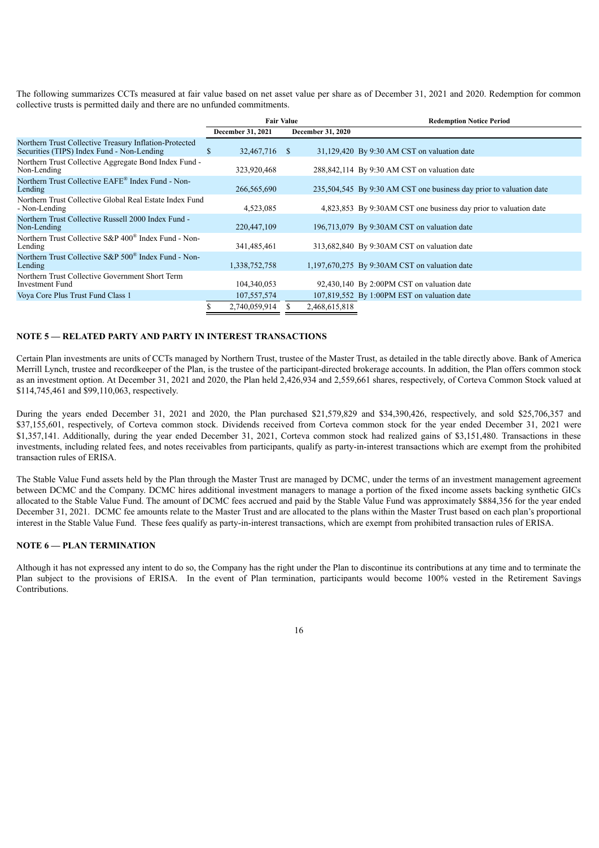The following summarizes CCTs measured at fair value based on net asset value per share as of December 31, 2021 and 2020. Redemption for common collective trusts is permitted daily and there are no unfunded commitments.

|                                                                                                      |                     | <b>Fair Value</b>        | <b>Redemption Notice Period</b>                                     |  |  |  |  |  |
|------------------------------------------------------------------------------------------------------|---------------------|--------------------------|---------------------------------------------------------------------|--|--|--|--|--|
|                                                                                                      | December 31, 2021   | <b>December 31, 2020</b> |                                                                     |  |  |  |  |  |
| Northern Trust Collective Treasury Inflation-Protected<br>Securities (TIPS) Index Fund - Non-Lending | 32,467,716 \$<br>S. |                          | 31,129,420 By 9:30 AM CST on valuation date                         |  |  |  |  |  |
| Northern Trust Collective Aggregate Bond Index Fund -<br>Non-Lending                                 | 323,920,468         |                          | 288,842,114 By 9:30 AM CST on valuation date                        |  |  |  |  |  |
| Northern Trust Collective EAFE <sup>®</sup> Index Fund - Non-<br>Lending                             | 266,565,690         |                          | 235,504,545 By 9:30 AM CST one business day prior to valuation date |  |  |  |  |  |
| Northern Trust Collective Global Real Estate Index Fund<br>- Non-Lending                             | 4,523,085           |                          | 4,823,853 By 9:30AM CST one business day prior to valuation date    |  |  |  |  |  |
| Northern Trust Collective Russell 2000 Index Fund -<br>Non-Lending                                   | 220,447,109         |                          | 196,713,079 By 9:30AM CST on valuation date                         |  |  |  |  |  |
| Northern Trust Collective S&P 400 <sup>®</sup> Index Fund - Non-<br>Lending                          | 341,485,461         |                          | 313,682,840 By 9:30AM CST on valuation date                         |  |  |  |  |  |
| Northern Trust Collective S&P 500 <sup>®</sup> Index Fund - Non-<br>Lending                          | 1,338,752,758       |                          | $1,197,670,275$ By 9:30AM CST on valuation date                     |  |  |  |  |  |
| Northern Trust Collective Government Short Term<br>Investment Fund                                   | 104,340,053         |                          | 92,430,140 By 2:00PM CST on valuation date                          |  |  |  |  |  |
| Voya Core Plus Trust Fund Class 1                                                                    | 107,557,574         |                          | 107,819,552 By 1:00PM EST on valuation date                         |  |  |  |  |  |
|                                                                                                      | 2,740,059,914       | 2,468,615,818            |                                                                     |  |  |  |  |  |

### **NOTE 5 — RELATED PARTY AND PARTY IN INTEREST TRANSACTIONS**

Certain Plan investments are units of CCTs managed by Northern Trust, trustee of the Master Trust, as detailed in the table directly above. Bank of America Merrill Lynch, trustee and recordkeeper of the Plan, is the trustee of the participant-directed brokerage accounts. In addition, the Plan offers common stock as an investment option. At December 31, 2021 and 2020, the Plan held 2,426,934 and 2,559,661 shares, respectively, of Corteva Common Stock valued at \$114,745,461 and \$99,110,063, respectively.

During the years ended December 31, 2021 and 2020, the Plan purchased \$21,579,829 and \$34,390,426, respectively, and sold \$25,706,357 and \$37,155,601, respectively, of Corteva common stock. Dividends received from Corteva common stock for the year ended December 31, 2021 were \$1,357,141. Additionally, during the year ended December 31, 2021, Corteva common stock had realized gains of \$3,151,480. Transactions in these investments, including related fees, and notes receivables from participants, qualify as party-in-interest transactions which are exempt from the prohibited transaction rules of ERISA.

The Stable Value Fund assets held by the Plan through the Master Trust are managed by DCMC, under the terms of an investment management agreement between DCMC and the Company. DCMC hires additional investment managers to manage a portion of the fixed income assets backing synthetic GICs allocated to the Stable Value Fund. The amount of DCMC fees accrued and paid by the Stable Value Fund was approximately \$884,356 for the year ended December 31, 2021. DCMC fee amounts relate to the Master Trust and are allocated to the plans within the Master Trust based on each plan's proportional interest in the Stable Value Fund. These fees qualify as party-in-interest transactions, which are exempt from prohibited transaction rules of ERISA.

## **NOTE 6 — PLAN TERMINATION**

Although it has not expressed any intent to do so, the Company has the right under the Plan to discontinue its contributions at any time and to terminate the Plan subject to the provisions of ERISA. In the event of Plan termination, participants would become 100% vested in the Retirement Savings Contributions.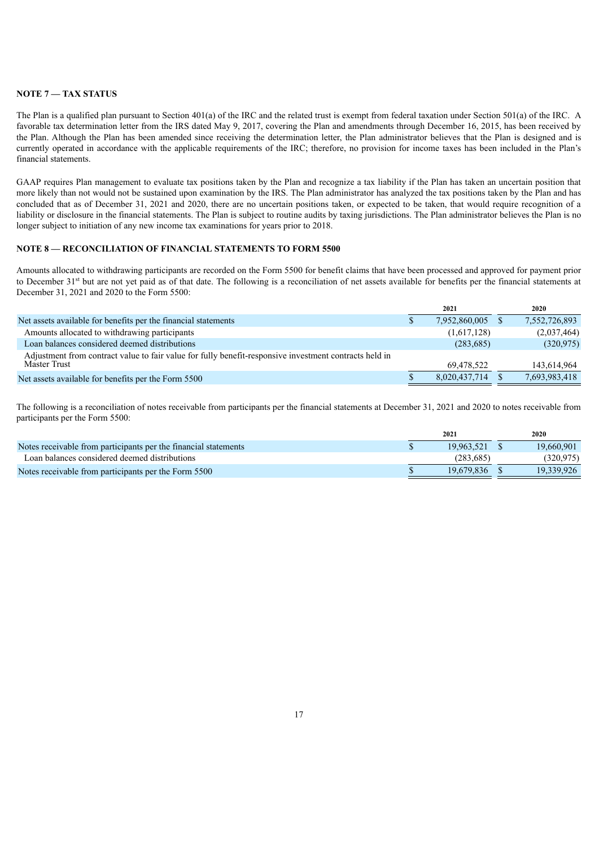## **NOTE 7 — TAX STATUS**

The Plan is a qualified plan pursuant to Section 401(a) of the IRC and the related trust is exempt from federal taxation under Section 501(a) of the IRC. A favorable tax determination letter from the IRS dated May 9, 2017, covering the Plan and amendments through December 16, 2015, has been received by the Plan. Although the Plan has been amended since receiving the determination letter, the Plan administrator believes that the Plan is designed and is currently operated in accordance with the applicable requirements of the IRC; therefore, no provision for income taxes has been included in the Plan's financial statements.

GAAP requires Plan management to evaluate tax positions taken by the Plan and recognize a tax liability if the Plan has taken an uncertain position that more likely than not would not be sustained upon examination by the IRS. The Plan administrator has analyzed the tax positions taken by the Plan and has concluded that as of December 31, 2021 and 2020, there are no uncertain positions taken, or expected to be taken, that would require recognition of a liability or disclosure in the financial statements. The Plan is subject to routine audits by taxing jurisdictions. The Plan administrator believes the Plan is no longer subject to initiation of any new income tax examinations for years prior to 2018.

## **NOTE 8 — RECONCILIATION OF FINANCIAL STATEMENTS TO FORM 5500**

Amounts allocated to withdrawing participants are recorded on the Form 5500 for benefit claims that have been processed and approved for payment prior to December  $31<sup>st</sup>$  but are not yet paid as of that date. The following is a reconciliation of net assets available for benefits per the financial statements at December 31, 2021 and 2020 to the Form 5500:

|                                                                                                        |   | 2021          | 2020          |
|--------------------------------------------------------------------------------------------------------|---|---------------|---------------|
| Net assets available for benefits per the financial statements                                         | P | 7,952,860,005 | 7,552,726,893 |
| Amounts allocated to withdrawing participants                                                          |   | (1,617,128)   | (2,037,464)   |
| Loan balances considered deemed distributions                                                          |   | (283, 685)    | (320, 975)    |
| Adjustment from contract value to fair value for fully benefit-responsive investment contracts held in |   |               |               |
| Master Trust                                                                                           |   | 69.478.522    | 143,614,964   |
| Net assets available for benefits per the Form 5500                                                    |   | 8,020,437,714 | 7,693,983,418 |
|                                                                                                        |   |               |               |

The following is a reconciliation of notes receivable from participants per the financial statements at December 31, 2021 and 2020 to notes receivable from participants per the Form 5500:

|                                                                 | 2021       | 2020       |
|-----------------------------------------------------------------|------------|------------|
| Notes receivable from participants per the financial statements | 19.963.521 | 19.660.901 |
| Loan balances considered deemed distributions                   | (283.685)  | (320.975)  |
| Notes receivable from participants per the Form 5500            | 19.679.836 | 19.339.926 |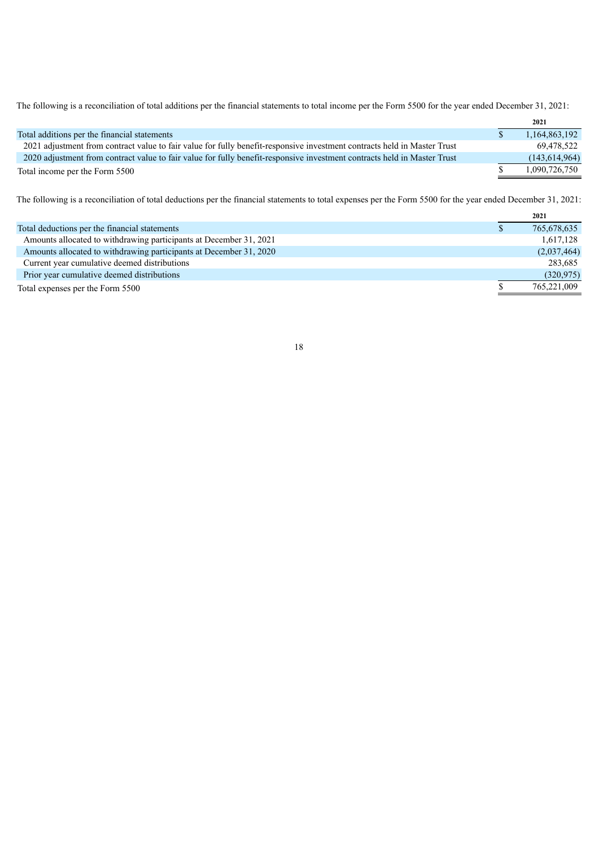The following is a reconciliation of total additions per the financial statements to total income per the Form 5500 for the year ended December 31, 2021:

|                                                                                                                          | 2021            |
|--------------------------------------------------------------------------------------------------------------------------|-----------------|
| Total additions per the financial statements                                                                             | 1,164,863,192   |
| 2021 adjustment from contract value to fair value for fully benefit-responsive investment contracts held in Master Trust | 69,478,522      |
| 2020 adjustment from contract value to fair value for fully benefit-responsive investment contracts held in Master Trust | (143, 614, 964) |
| Total income per the Form 5500                                                                                           | 1,090,726,750   |

The following is a reconciliation of total deductions per the financial statements to total expenses per the Form 5500 for the year ended December 31, 2021:

|                                                                    | 2021        |
|--------------------------------------------------------------------|-------------|
| Total deductions per the financial statements                      | 765,678,635 |
| Amounts allocated to withdrawing participants at December 31, 2021 | 1,617,128   |
| Amounts allocated to withdrawing participants at December 31, 2020 | (2,037,464) |
| Current year cumulative deemed distributions                       | 283,685     |
| Prior year cumulative deemed distributions                         | (320, 975)  |
| Total expenses per the Form 5500                                   | 765,221,009 |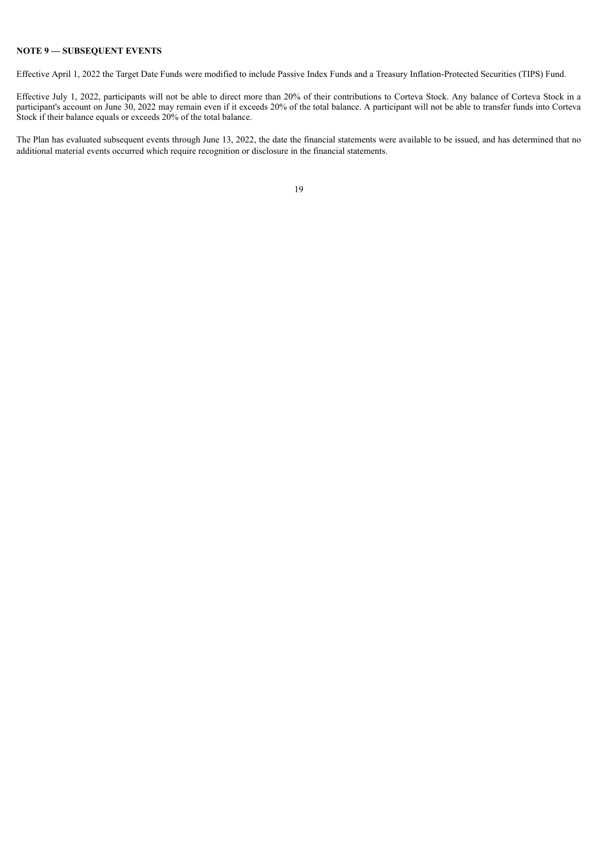## **NOTE 9 — SUBSEQUENT EVENTS**

Effective April 1, 2022 the Target Date Funds were modified to include Passive Index Funds and a Treasury Inflation-Protected Securities (TIPS) Fund.

Effective July 1, 2022, participants will not be able to direct more than 20% of their contributions to Corteva Stock. Any balance of Corteva Stock in a participant's account on June 30, 2022 may remain even if it exceeds 20% of the total balance. A participant will not be able to transfer funds into Corteva Stock if their balance equals or exceeds 20% of the total balance.

<span id="page-20-0"></span>The Plan has evaluated subsequent events through June 13, 2022, the date the financial statements were available to be issued, and has determined that no additional material events occurred which require recognition or disclosure in the financial statements.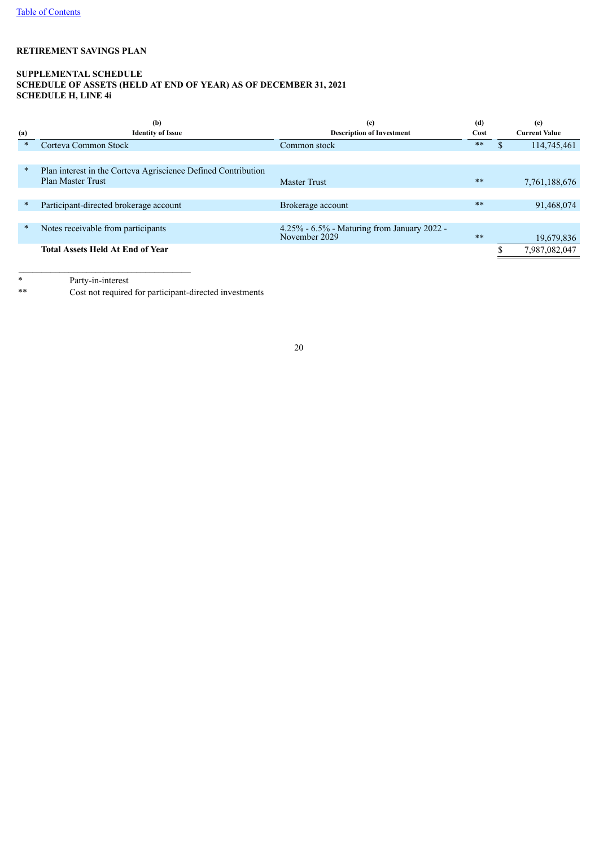## **SUPPLEMENTAL SCHEDULE SCHEDULE OF ASSETS (HELD AT END OF YEAR) AS OF DECEMBER 31, 2021 SCHEDULE H, LINE 4i**

| (a)    | (b)<br><b>Identity of Issue</b>                               | (c)<br><b>Description of Investment</b>                      |            |               | (e)<br><b>Current Value</b> |
|--------|---------------------------------------------------------------|--------------------------------------------------------------|------------|---------------|-----------------------------|
| $\ast$ | Corteva Common Stock                                          | Common stock                                                 | $\ast\ast$ | <sup>\$</sup> | 114,745,461                 |
|        |                                                               |                                                              |            |               |                             |
| $\ast$ | Plan interest in the Corteva Agriscience Defined Contribution |                                                              |            |               |                             |
|        | <b>Plan Master Trust</b>                                      | <b>Master Trust</b>                                          | $**$       |               | 7, 761, 188, 676            |
|        |                                                               |                                                              |            |               |                             |
| $\ast$ | Participant-directed brokerage account                        | Brokerage account                                            | $**$       |               | 91,468,074                  |
|        |                                                               |                                                              |            |               |                             |
| $\ast$ | Notes receivable from participants                            | 4.25% - 6.5% - Maturing from January 2022 -<br>November 2029 | $**$       |               | 19,679,836                  |
|        | <b>Total Assets Held At End of Year</b>                       |                                                              |            |               | 7,987,082,047               |

\* Party-in-interest

<span id="page-21-0"></span>Cost not required for participant-directed investments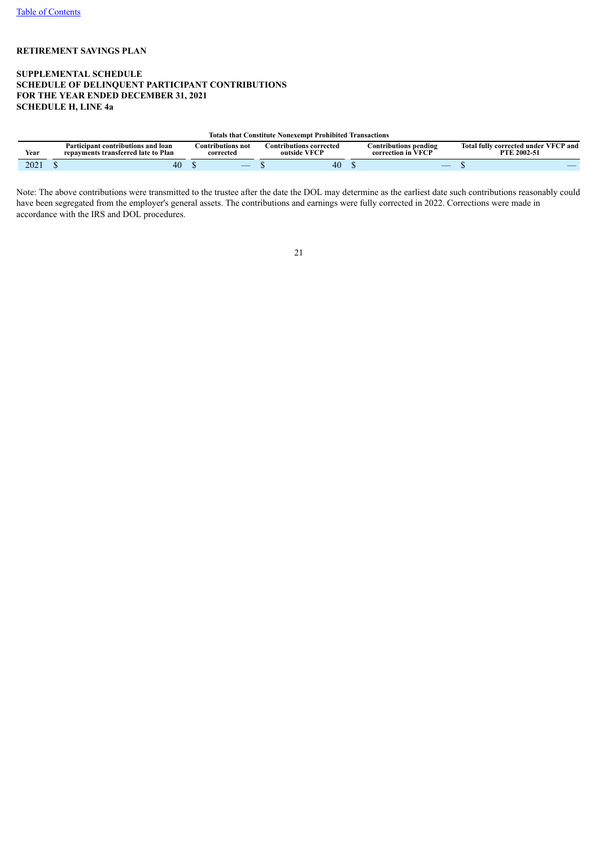## **SUPPLEMENTAL SCHEDULE SCHEDULE OF DELINQUENT PARTICIPANT CONTRIBUTIONS FOR THE YEAR ENDED DECEMBER 31, 2021 SCHEDULE H, LINE 4a**

#### **Totals that Constitute Nonexempt Prohibited Transactions**

| $\blacksquare$<br>Year             | Participant contributions and loan-<br>repayments transferred late to Plan | Contributions not<br>corrected | contributions corrected.<br>. VFCP<br>outside | $\cdot$<br>Contributions pending<br>T T T T T T<br>correc<br>ction in | <b>Total fully</b><br><b>∙VFCP</b> and<br>corrected under '<br>$2002 - 5$<br>DTI |
|------------------------------------|----------------------------------------------------------------------------|--------------------------------|-----------------------------------------------|-----------------------------------------------------------------------|----------------------------------------------------------------------------------|
| $\mathcal{Q}(\mathcal{Q})$<br>ZUZ. | ΓV                                                                         | __                             | $40^{\circ}$                                  | $\overline{\phantom{a}}$                                              |                                                                                  |

<span id="page-22-0"></span>Note: The above contributions were transmitted to the trustee after the date the DOL may determine as the earliest date such contributions reasonably could have been segregated from the employer's general assets. The contributions and earnings were fully corrected in 2022. Corrections were made in accordance with the IRS and DOL procedures.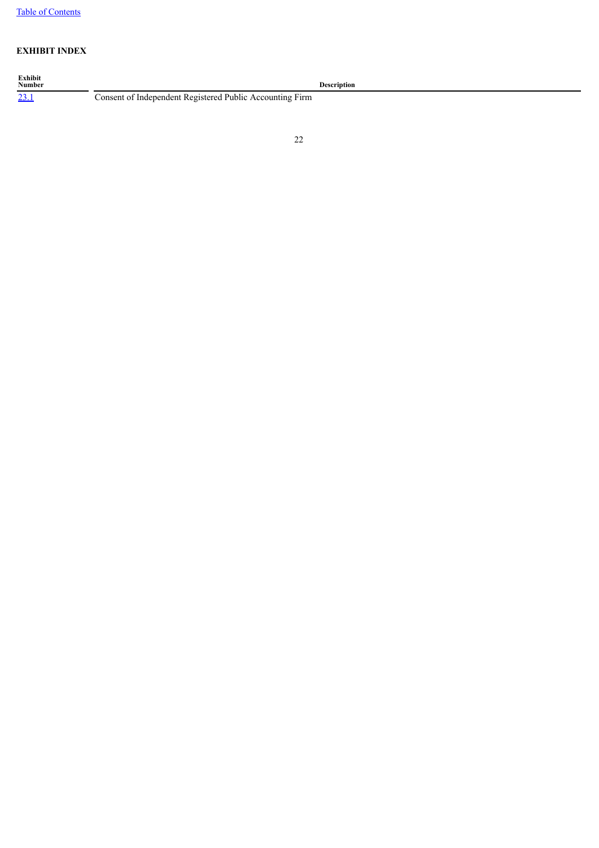## **EXHIBIT INDEX**

<span id="page-23-0"></span>**Exhibit**<br>**Number**<br><u>23.1</u> **Description** [23.1](#page-25-0) Consent of Independent Registered Public Accounting Firm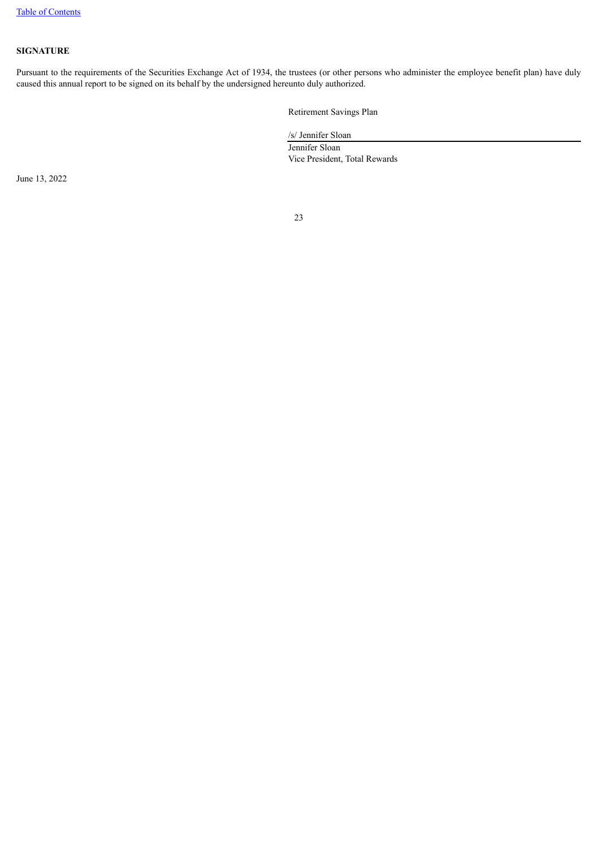## **SIGNATURE**

Pursuant to the requirements of the Securities Exchange Act of 1934, the trustees (or other persons who administer the employee benefit plan) have duly caused this annual report to be signed on its behalf by the undersigned hereunto duly authorized.

Retirement Savings Plan

/s/ Jennifer Sloan Jennifer Sloan Vice President, Total Rewards

June 13, 2022